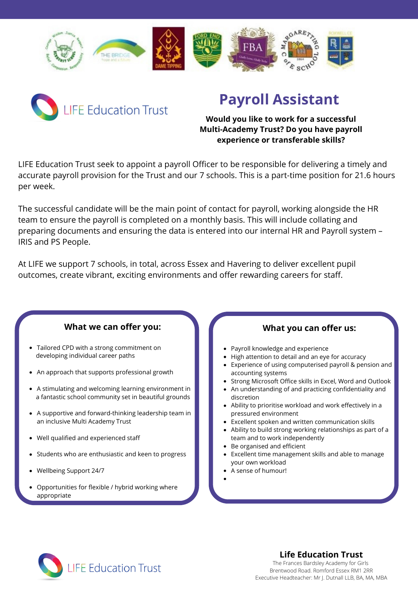



## **Payroll Assistant**

#### **Would you like to work for a successful Multi-Academy Trust? Do you have payroll experience or transferable skills?**

LIFE Education Trust seek to appoint a payroll Officer to be responsible for delivering a timely and accurate payroll provision for the Trust and our 7 schools. This is a part-time position for 21.6 hours per week.

The successful candidate will be the main point of contact for payroll, working alongside the HR team to ensure the payroll is completed on a monthly basis. This will include collating and preparing documents and ensuring the data is entered into our internal HR and Payroll system – IRIS and PS People.

At LIFE we support 7 schools, in total, across Essex and Havering to deliver excellent pupil outcomes, create vibrant, exciting environments and offer rewarding careers for staff.

### **What we can offer you:**

- Tailored CPD with a strong commitment on developing individual career paths
- An approach that supports professional growth
- A stimulating and welcoming learning environment in a fantastic school community set in beautiful grounds
- A supportive and forward-thinking leadership team in an inclusive Multi Academy Trust
- Well qualified and experienced staff
- Students who are enthusiastic and keen to progress
- Wellbeing Support 24/7
- Opportunities for flexible / hybrid working where appropriate

### **What you can offer us:**

- Payroll knowledge and experience
	- High attention to detail and an eye for accuracy
- Experience of using computerised payroll & pension and accounting systems
- Strong Microsoft Office skills in Excel, Word and Outlook
- An understanding of and practicing confidentiality and discretion
- Ability to prioritise workload and work effectively in a pressured environment
- Excellent spoken and written communication skills
- Ability to build strong working relationships as part of a team and to work independently
- Be organised and efficient
- Excellent time management skills and able to manage your own workload
- A sense of humour!



**Life Education Trust**

The Frances Bardsley Academy for Girls Brentwood Road. Romford Essex RM1 2RR Executive Headteacher: Mr J. Dutnall LLB, BA, MA, MBA